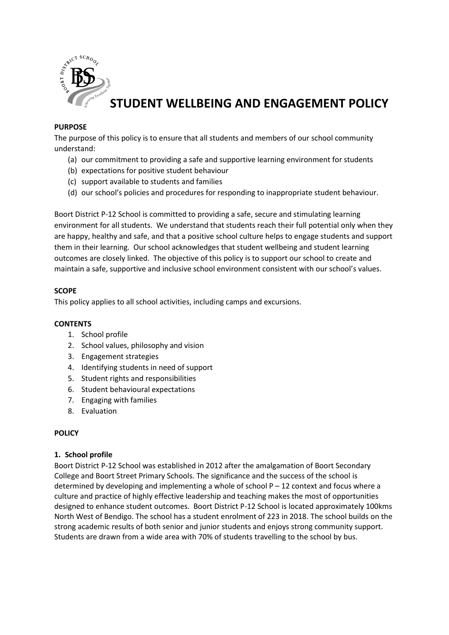

# **STUDENT WELLBEING AND ENGAGEMENT POLICY**

## **PURPOSE**

The purpose of this policy is to ensure that all students and members of our school community understand:

- (a) our commitment to providing a safe and supportive learning environment for students
- (b) expectations for positive student behaviour
- (c) support available to students and families
- (d) our school's policies and procedures for responding to inappropriate student behaviour.

Boort District P-12 School is committed to providing a safe, secure and stimulating learning environment for all students. We understand that students reach their full potential only when they are happy, healthy and safe, and that a positive school culture helps to engage students and support them in their learning. Our school acknowledges that student wellbeing and student learning outcomes are closely linked. The objective of this policy is to support our school to create and maintain a safe, supportive and inclusive school environment consistent with our school's values.

#### **SCOPE**

This policy applies to all school activities, including camps and excursions.

## **CONTENTS**

- 1. School profile
- 2. School values, philosophy and vision
- 3. Engagement strategies
- 4. Identifying students in need of support
- 5. Student rights and responsibilities
- 6. Student behavioural expectations
- 7. Engaging with families
- 8. Evaluation

## **POLICY**

#### **1. School profile**

Boort District P-12 School was established in 2012 after the amalgamation of Boort Secondary College and Boort Street Primary Schools. The significance and the success of the school is determined by developing and implementing a whole of school  $P - 12$  context and focus where a culture and practice of highly effective leadership and teaching makes the most of opportunities designed to enhance student outcomes. Boort District P-12 School is located approximately 100kms North West of Bendigo. The school has a student enrolment of 223 in 2018. The school builds on the strong academic results of both senior and junior students and enjoys strong community support. Students are drawn from a wide area with 70% of students travelling to the school by bus.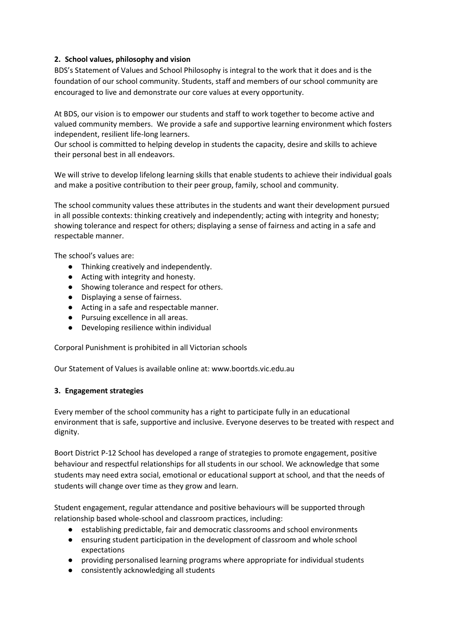## **2. School values, philosophy and vision**

BDS's Statement of Values and School Philosophy is integral to the work that it does and is the foundation of our school community. Students, staff and members of our school community are encouraged to live and demonstrate our core values at every opportunity.

At BDS, our vision is to empower our students and staff to work together to become active and valued community members. We provide a safe and supportive learning environment which fosters independent, resilient life-long learners.

Our school is committed to helping develop in students the capacity, desire and skills to achieve their personal best in all endeavors.

We will strive to develop lifelong learning skills that enable students to achieve their individual goals and make a positive contribution to their peer group, family, school and community.

The school community values these attributes in the students and want their development pursued in all possible contexts: thinking creatively and independently; acting with integrity and honesty; showing tolerance and respect for others; displaying a sense of fairness and acting in a safe and respectable manner.

The school's values are:

- Thinking creatively and independently.
- Acting with integrity and honesty.
- Showing tolerance and respect for others.
- Displaying a sense of fairness.
- Acting in a safe and respectable manner.
- Pursuing excellence in all areas.
- Developing resilience within individual

Corporal Punishment is prohibited in all Victorian schools

Our Statement of Values is available online at: www.boortds.vic.edu.au

#### **3. Engagement strategies**

Every member of the school community has a right to participate fully in an educational environment that is safe, supportive and inclusive. Everyone deserves to be treated with respect and dignity.

Boort District P-12 School has developed a range of strategies to promote engagement, positive behaviour and respectful relationships for all students in our school. We acknowledge that some students may need extra social, emotional or educational support at school, and that the needs of students will change over time as they grow and learn.

Student engagement, regular attendance and positive behaviours will be supported through relationship based whole-school and classroom practices, including:

- establishing predictable, fair and democratic classrooms and school environments
- ensuring student participation in the development of classroom and whole school expectations
- providing personalised learning programs where appropriate for individual students
- consistently acknowledging all students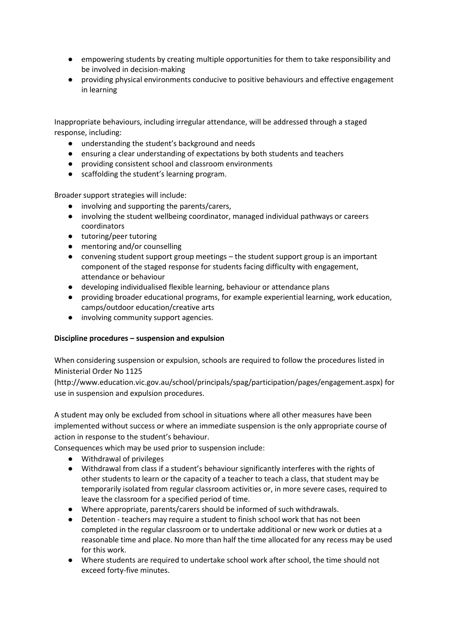- empowering students by creating multiple opportunities for them to take responsibility and be involved in decision-making
- providing physical environments conducive to positive behaviours and effective engagement in learning

Inappropriate behaviours, including irregular attendance, will be addressed through a staged response, including:

- understanding the student's background and needs
- ensuring a clear understanding of expectations by both students and teachers
- providing consistent school and classroom environments
- scaffolding the student's learning program.

Broader support strategies will include:

- involving and supporting the parents/carers,
- involving the student wellbeing coordinator, managed individual pathways or careers coordinators
- tutoring/peer tutoring
- mentoring and/or counselling
- convening student support group meetings the student support group is an important component of the staged response for students facing difficulty with engagement, attendance or behaviour
- developing individualised flexible learning, behaviour or attendance plans
- providing broader educational programs, for example experiential learning, work education, camps/outdoor education/creative arts
- involving community support agencies.

#### **Discipline procedures – suspension and expulsion**

When considering suspension or expulsion, schools are required to follow the procedures listed in Ministerial Order No 1125

(http://www.education.vic.gov.au/school/principals/spag/participation/pages/engagement.aspx) for use in suspension and expulsion procedures.

A student may only be excluded from school in situations where all other measures have been implemented without success or where an immediate suspension is the only appropriate course of action in response to the student's behaviour.

Consequences which may be used prior to suspension include:

- Withdrawal of privileges
- Withdrawal from class if a student's behaviour significantly interferes with the rights of other students to learn or the capacity of a teacher to teach a class, that student may be temporarily isolated from regular classroom activities or, in more severe cases, required to leave the classroom for a specified period of time.
- Where appropriate, parents/carers should be informed of such withdrawals.
- Detention teachers may require a student to finish school work that has not been completed in the regular classroom or to undertake additional or new work or duties at a reasonable time and place. No more than half the time allocated for any recess may be used for this work.
- Where students are required to undertake school work after school, the time should not exceed forty-five minutes.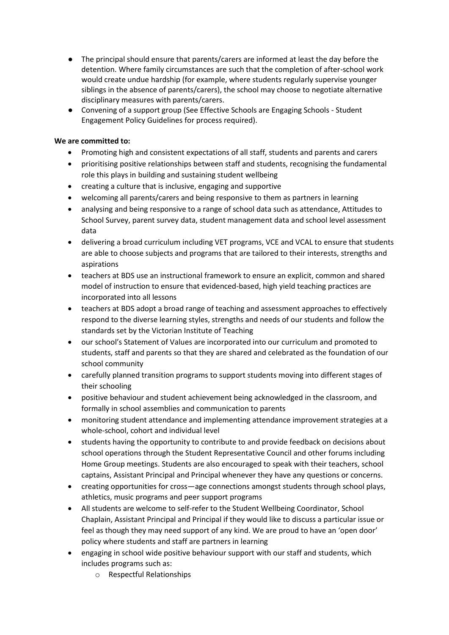- The principal should ensure that parents/carers are informed at least the day before the detention. Where family circumstances are such that the completion of after-school work would create undue hardship (for example, where students regularly supervise younger siblings in the absence of parents/carers), the school may choose to negotiate alternative disciplinary measures with parents/carers.
- Convening of a support group (See Effective Schools are Engaging Schools Student Engagement Policy Guidelines for process required).

## **We are committed to:**

- Promoting high and consistent expectations of all staff, students and parents and carers
- prioritising positive relationships between staff and students, recognising the fundamental role this plays in building and sustaining student wellbeing
- creating a culture that is inclusive, engaging and supportive
- welcoming all parents/carers and being responsive to them as partners in learning
- analysing and being responsive to a range of school data such as attendance, Attitudes to School Survey, parent survey data, student management data and school level assessment data
- delivering a broad curriculum including VET programs, VCE and VCAL to ensure that students are able to choose subjects and programs that are tailored to their interests, strengths and aspirations
- teachers at BDS use an instructional framework to ensure an explicit, common and shared model of instruction to ensure that evidenced-based, high yield teaching practices are incorporated into all lessons
- teachers at BDS adopt a broad range of teaching and assessment approaches to effectively respond to the diverse learning styles, strengths and needs of our students and follow the standards set by the Victorian Institute of Teaching
- our school's Statement of Values are incorporated into our curriculum and promoted to students, staff and parents so that they are shared and celebrated as the foundation of our school community
- carefully planned transition programs to support students moving into different stages of their schooling
- positive behaviour and student achievement being acknowledged in the classroom, and formally in school assemblies and communication to parents
- monitoring student attendance and implementing attendance improvement strategies at a whole-school, cohort and individual level
- students having the opportunity to contribute to and provide feedback on decisions about school operations through the Student Representative Council and other forums including Home Group meetings. Students are also encouraged to speak with their teachers, school captains, Assistant Principal and Principal whenever they have any questions or concerns.
- creating opportunities for cross—age connections amongst students through school plays, athletics, music programs and peer support programs
- All students are welcome to self-refer to the Student Wellbeing Coordinator, School Chaplain, Assistant Principal and Principal if they would like to discuss a particular issue or feel as though they may need support of any kind. We are proud to have an 'open door' policy where students and staff are partners in learning
- engaging in school wide positive behaviour support with our staff and students, which includes programs such as:
	- o Respectful Relationships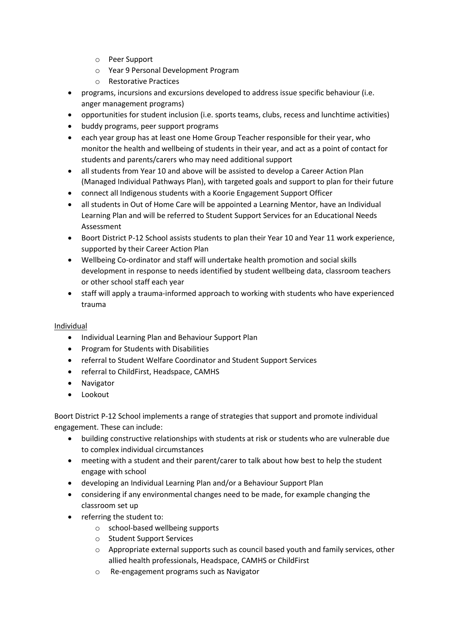- o Peer Support
- o Year 9 Personal Development Program
- o Restorative Practices
- programs, incursions and excursions developed to address issue specific behaviour (i.e. anger management programs)
- opportunities for student inclusion (i.e. sports teams, clubs, recess and lunchtime activities)
- buddy programs, peer support programs
- each year group has at least one Home Group Teacher responsible for their year, who monitor the health and wellbeing of students in their year, and act as a point of contact for students and parents/carers who may need additional support
- all students from Year 10 and above will be assisted to develop a Career Action Plan (Managed Individual Pathways Plan), with targeted goals and support to plan for their future
- connect all Indigenous students with a Koorie Engagement Support Officer
- all students in Out of Home Care will be appointed a Learning Mentor, have an Individual Learning Plan and will be referred to Student Support Services for an Educational Needs Assessment
- Boort District P-12 School assists students to plan their Year 10 and Year 11 work experience, supported by their Career Action Plan
- Wellbeing Co-ordinator and staff will undertake health promotion and social skills development in response to needs identified by student wellbeing data, classroom teachers or other school staff each year
- staff will apply a trauma-informed approach to working with students who have experienced trauma

## Individual

- Individual Learning Plan and Behaviour Support Plan
- Program for Students with Disabilities
- referral to Student Welfare Coordinator and Student Support Services
- referral to ChildFirst, Headspace, CAMHS
- Navigator
- **•** Lookout

Boort District P-12 School implements a range of strategies that support and promote individual engagement. These can include:

- building constructive relationships with students at risk or students who are vulnerable due to complex individual circumstances
- meeting with a student and their parent/carer to talk about how best to help the student engage with school
- developing an Individual Learning Plan and/or a Behaviour Support Plan
- considering if any environmental changes need to be made, for example changing the classroom set up
- referring the student to:
	- o school-based wellbeing supports
	- o Student Support Services
	- $\circ$  Appropriate external supports such as council based youth and family services, other allied health professionals, Headspace, CAMHS or ChildFirst
	- o Re-engagement programs such as Navigator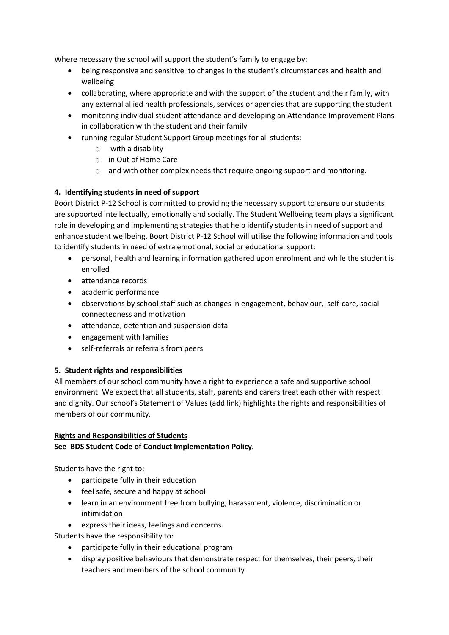Where necessary the school will support the student's family to engage by:

- being responsive and sensitive to changes in the student's circumstances and health and wellbeing
- collaborating, where appropriate and with the support of the student and their family, with any external allied health professionals, services or agencies that are supporting the student
- monitoring individual student attendance and developing an Attendance Improvement Plans in collaboration with the student and their family
- running regular Student Support Group meetings for all students:
	- o with a disability
	- o in Out of Home Care
	- $\circ$  and with other complex needs that require ongoing support and monitoring.

# **4. Identifying students in need of support**

Boort District P-12 School is committed to providing the necessary support to ensure our students are supported intellectually, emotionally and socially. The Student Wellbeing team plays a significant role in developing and implementing strategies that help identify students in need of support and enhance student wellbeing. Boort District P-12 School will utilise the following information and tools to identify students in need of extra emotional, social or educational support:

- personal, health and learning information gathered upon enrolment and while the student is enrolled
- attendance records
- academic performance
- observations by school staff such as changes in engagement, behaviour, self-care, social connectedness and motivation
- attendance, detention and suspension data
- engagement with families
- self-referrals or referrals from peers

## **5. Student rights and responsibilities**

All members of our school community have a right to experience a safe and supportive school environment. We expect that all students, staff, parents and carers treat each other with respect and dignity. Our school's Statement of Values (add link) highlights the rights and responsibilities of members of our community.

## **Rights and Responsibilities of Students**

## **See BDS Student Code of Conduct Implementation Policy.**

Students have the right to:

- participate fully in their education
- feel safe, secure and happy at school
- learn in an environment free from bullying, harassment, violence, discrimination or intimidation
- express their ideas, feelings and concerns.

Students have the responsibility to:

- participate fully in their educational program
- display positive behaviours that demonstrate respect for themselves, their peers, their teachers and members of the school community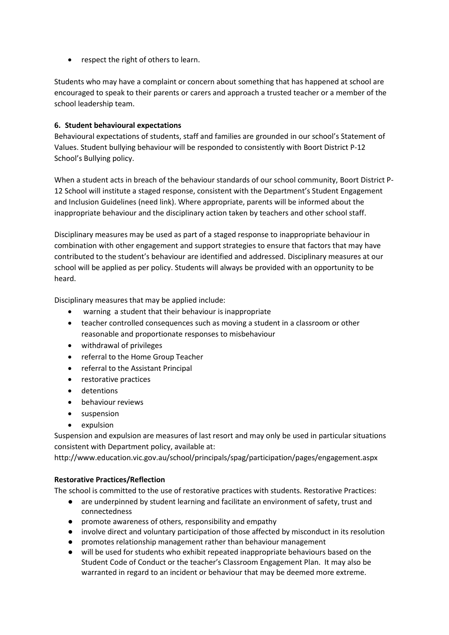• respect the right of others to learn.

Students who may have a complaint or concern about something that has happened at school are encouraged to speak to their parents or carers and approach a trusted teacher or a member of the school leadership team.

## **6. Student behavioural expectations**

Behavioural expectations of students, staff and families are grounded in our school's Statement of Values. Student bullying behaviour will be responded to consistently with Boort District P-12 School's Bullying policy.

When a student acts in breach of the behaviour standards of our school community, Boort District P-12 School will institute a staged response, consistent with the Department's Student Engagement and Inclusion Guidelines (need link). Where appropriate, parents will be informed about the inappropriate behaviour and the disciplinary action taken by teachers and other school staff.

Disciplinary measures may be used as part of a staged response to inappropriate behaviour in combination with other engagement and support strategies to ensure that factors that may have contributed to the student's behaviour are identified and addressed. Disciplinary measures at our school will be applied as per policy. Students will always be provided with an opportunity to be heard.

Disciplinary measures that may be applied include:

- warning a student that their behaviour is inappropriate
- teacher controlled consequences such as moving a student in a classroom or other reasonable and proportionate responses to misbehaviour
- withdrawal of privileges
- referral to the Home Group Teacher
- referral to the Assistant Principal
- restorative practices
- detentions
- **•** behaviour reviews
- suspension
- expulsion

Suspension and expulsion are measures of last resort and may only be used in particular situations consistent with Department policy, available at:

http://www.education.vic.gov.au/school/principals/spag/participation/pages/engagement.aspx

## **Restorative Practices/Reflection**

The school is committed to the use of restorative practices with students. Restorative Practices:

- are underpinned by student learning and facilitate an environment of safety, trust and connectedness
- promote awareness of others, responsibility and empathy
- involve direct and voluntary participation of those affected by misconduct in its resolution
- promotes relationship management rather than behaviour management
- will be used for students who exhibit repeated inappropriate behaviours based on the Student Code of Conduct or the teacher's Classroom Engagement Plan. It may also be warranted in regard to an incident or behaviour that may be deemed more extreme.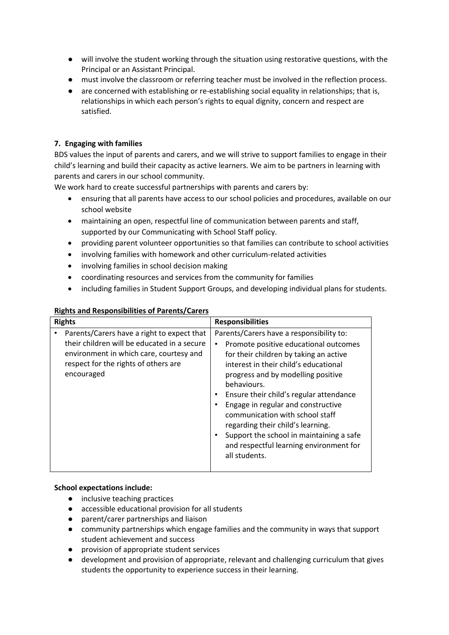- will involve the student working through the situation using restorative questions, with the Principal or an Assistant Principal.
- must involve the classroom or referring teacher must be involved in the reflection process.
- are concerned with establishing or re-establishing social equality in relationships; that is, relationships in which each person's rights to equal dignity, concern and respect are satisfied.

## **7. Engaging with families**

BDS values the input of parents and carers, and we will strive to support families to engage in their child's learning and build their capacity as active learners. We aim to be partners in learning with parents and carers in our school community.

We work hard to create successful partnerships with parents and carers by:

- ensuring that all parents have access to our school policies and procedures, available on our school website
- maintaining an open, respectful line of communication between parents and staff, supported by our Communicating with School Staff policy.
- providing parent volunteer opportunities so that families can contribute to school activities
- involving families with homework and other curriculum-related activities
- involving families in school decision making
- coordinating resources and services from the community for families
- including families in Student Support Groups, and developing individual plans for students.

| <b>Rights</b>                                                                                                                                                                              | <b>Responsibilities</b>                                                                                                                                                                                                                                                                                                                                                                                                                                                                    |
|--------------------------------------------------------------------------------------------------------------------------------------------------------------------------------------------|--------------------------------------------------------------------------------------------------------------------------------------------------------------------------------------------------------------------------------------------------------------------------------------------------------------------------------------------------------------------------------------------------------------------------------------------------------------------------------------------|
| Parents/Carers have a right to expect that<br>their children will be educated in a secure<br>environment in which care, courtesy and<br>respect for the rights of others are<br>encouraged | Parents/Carers have a responsibility to:<br>Promote positive educational outcomes<br>for their children by taking an active<br>interest in their child's educational<br>progress and by modelling positive<br>behaviours.<br>Ensure their child's regular attendance<br>Engage in regular and constructive<br>communication with school staff<br>regarding their child's learning.<br>Support the school in maintaining a safe<br>and respectful learning environment for<br>all students. |

## **Rights and Responsibilities of Parents/Carers**

#### **School expectations include:**

- inclusive teaching practices
- accessible educational provision for all students
- parent/carer partnerships and liaison
- community partnerships which engage families and the community in ways that support student achievement and success
- provision of appropriate student services
- development and provision of appropriate, relevant and challenging curriculum that gives students the opportunity to experience success in their learning.